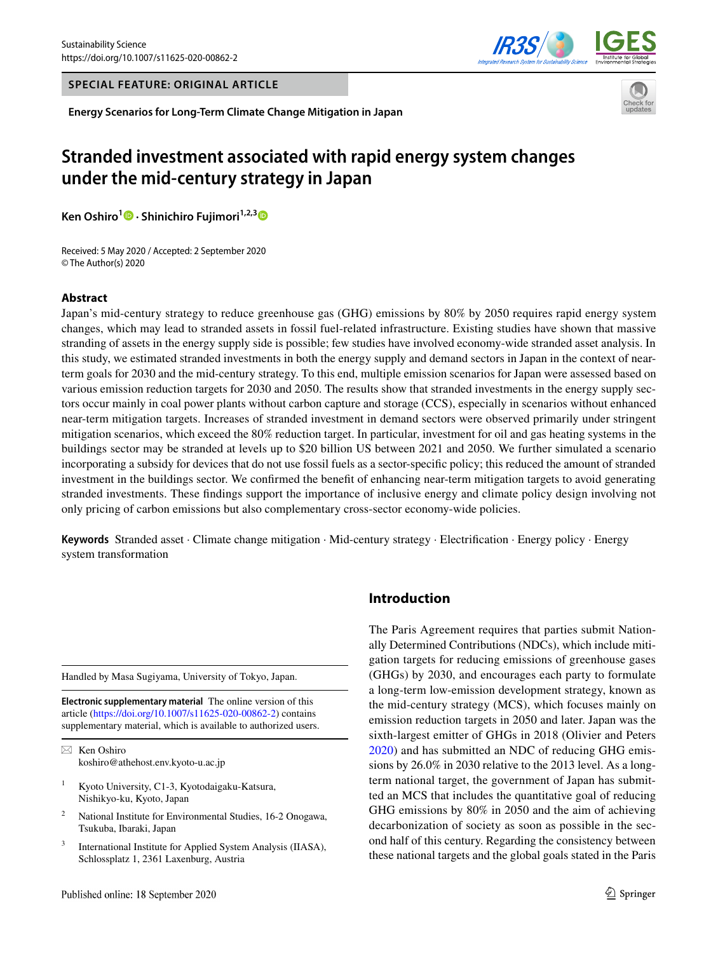**SPECIAL FEATURE: ORIGINAL ARTICLE**





**Energy Scenarios for Long-Term Climate Change Mitigation in Japan**

# **Stranded investment associated with rapid energy system changes under the mid‑century strategy in Japan**

**Ken Oshiro**<sup>1</sup> **D** [·](http://orcid.org/0000-0001-6720-409X) Shinichiro Fujimori<sup>1,2,[3](http://orcid.org/0000-0001-7897-1796)</sup> **D** 

Received: 5 May 2020 / Accepted: 2 September 2020 © The Author(s) 2020

### **Abstract**

Japan's mid-century strategy to reduce greenhouse gas (GHG) emissions by 80% by 2050 requires rapid energy system changes, which may lead to stranded assets in fossil fuel-related infrastructure. Existing studies have shown that massive stranding of assets in the energy supply side is possible; few studies have involved economy-wide stranded asset analysis. In this study, we estimated stranded investments in both the energy supply and demand sectors in Japan in the context of nearterm goals for 2030 and the mid-century strategy. To this end, multiple emission scenarios for Japan were assessed based on various emission reduction targets for 2030 and 2050. The results show that stranded investments in the energy supply sectors occur mainly in coal power plants without carbon capture and storage (CCS), especially in scenarios without enhanced near-term mitigation targets. Increases of stranded investment in demand sectors were observed primarily under stringent mitigation scenarios, which exceed the 80% reduction target. In particular, investment for oil and gas heating systems in the buildings sector may be stranded at levels up to \$20 billion US between 2021 and 2050. We further simulated a scenario incorporating a subsidy for devices that do not use fossil fuels as a sector-specifc policy; this reduced the amount of stranded investment in the buildings sector. We confrmed the beneft of enhancing near-term mitigation targets to avoid generating stranded investments. These fndings support the importance of inclusive energy and climate policy design involving not only pricing of carbon emissions but also complementary cross-sector economy-wide policies.

**Keywords** Stranded asset · Climate change mitigation · Mid-century strategy · Electrifcation · Energy policy · Energy system transformation

Handled by Masa Sugiyama, University of Tokyo, Japan.

**Electronic supplementary material** The online version of this article [\(https://doi.org/10.1007/s11625-020-00862-2\)](https://doi.org/10.1007/s11625-020-00862-2) contains supplementary material, which is available to authorized users.

 $\boxtimes$  Ken Oshiro koshiro@athehost.env.kyoto-u.ac.jp

- <sup>1</sup> Kyoto University, C1-3, Kyotodaigaku-Katsura, Nishikyo-ku, Kyoto, Japan
- <sup>2</sup> National Institute for Environmental Studies, 16-2 Onogawa, Tsukuba, Ibaraki, Japan
- International Institute for Applied System Analysis (IIASA), Schlossplatz 1, 2361 Laxenburg, Austria

# **Introduction**

The Paris Agreement requires that parties submit Nationally Determined Contributions (NDCs), which include mitigation targets for reducing emissions of greenhouse gases (GHGs) by 2030, and encourages each party to formulate a long-term low-emission development strategy, known as the mid-century strategy (MCS), which focuses mainly on emission reduction targets in 2050 and later. Japan was the sixth-largest emitter of GHGs in 2018 (Olivier and Peters [2020\)](#page-9-0) and has submitted an NDC of reducing GHG emissions by 26.0% in 2030 relative to the 2013 level. As a longterm national target, the government of Japan has submitted an MCS that includes the quantitative goal of reducing GHG emissions by 80% in 2050 and the aim of achieving decarbonization of society as soon as possible in the second half of this century. Regarding the consistency between these national targets and the global goals stated in the Paris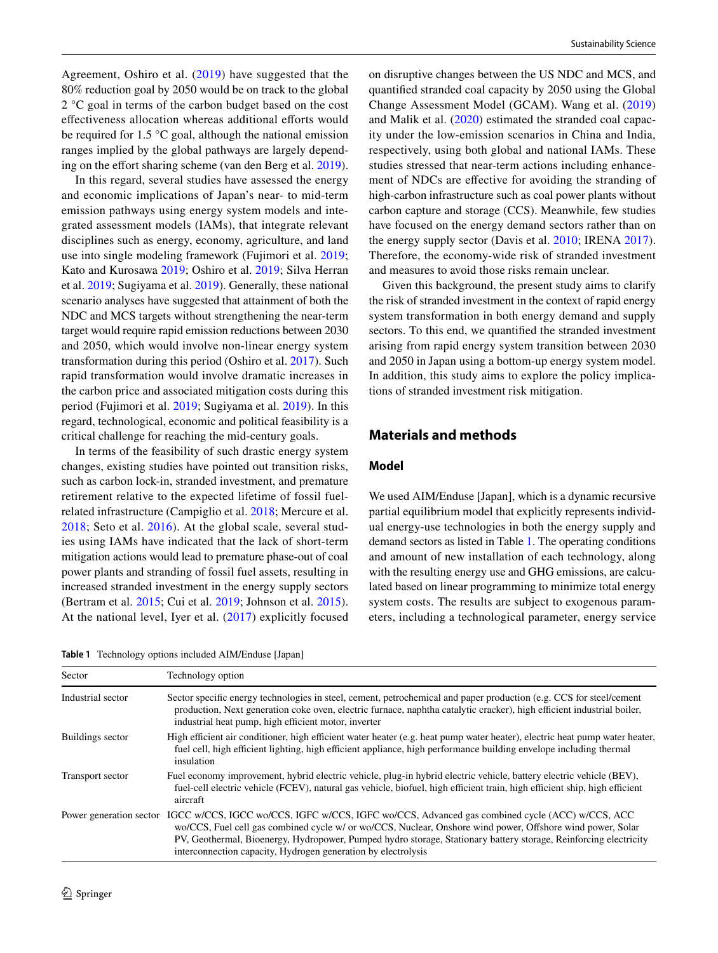Agreement, Oshiro et al. ([2019\)](#page-10-0) have suggested that the 80% reduction goal by 2050 would be on track to the global 2 °C goal in terms of the carbon budget based on the cost effectiveness allocation whereas additional efforts would be required for 1.5 °C goal, although the national emission ranges implied by the global pathways are largely depend-ing on the effort sharing scheme (van den Berg et al. [2019](#page-10-1)).

In this regard, several studies have assessed the energy and economic implications of Japan's near- to mid-term emission pathways using energy system models and integrated assessment models (IAMs), that integrate relevant disciplines such as energy, economy, agriculture, and land use into single modeling framework (Fujimori et al. [2019](#page-9-1); Kato and Kurosawa [2019;](#page-9-2) Oshiro et al. [2019](#page-10-0); Silva Herran et al. [2019;](#page-10-2) Sugiyama et al. [2019\)](#page-10-3). Generally, these national scenario analyses have suggested that attainment of both the NDC and MCS targets without strengthening the near-term target would require rapid emission reductions between 2030 and 2050, which would involve non-linear energy system transformation during this period (Oshiro et al. [2017](#page-9-3)). Such rapid transformation would involve dramatic increases in the carbon price and associated mitigation costs during this period (Fujimori et al. [2019;](#page-9-1) Sugiyama et al. [2019\)](#page-10-3). In this regard, technological, economic and political feasibility is a critical challenge for reaching the mid-century goals.

In terms of the feasibility of such drastic energy system changes, existing studies have pointed out transition risks, such as carbon lock-in, stranded investment, and premature retirement relative to the expected lifetime of fossil fuelrelated infrastructure (Campiglio et al. [2018](#page-9-4); Mercure et al. [2018;](#page-9-5) Seto et al. [2016](#page-10-4)). At the global scale, several studies using IAMs have indicated that the lack of short-term mitigation actions would lead to premature phase-out of coal power plants and stranding of fossil fuel assets, resulting in increased stranded investment in the energy supply sectors (Bertram et al. [2015](#page-9-6); Cui et al. [2019](#page-9-7); Johnson et al. [2015](#page-9-8)). At the national level, Iyer et al. [\(2017](#page-9-9)) explicitly focused

<span id="page-1-0"></span>**Table 1** Technology options included AIM/Enduse [Japan]

on disruptive changes between the US NDC and MCS, and quantifed stranded coal capacity by 2050 using the Global Change Assessment Model (GCAM). Wang et al. [\(2019\)](#page-10-5) and Malik et al. [\(2020](#page-9-10)) estimated the stranded coal capacity under the low-emission scenarios in China and India, respectively, using both global and national IAMs. These studies stressed that near-term actions including enhancement of NDCs are efective for avoiding the stranding of high-carbon infrastructure such as coal power plants without carbon capture and storage (CCS). Meanwhile, few studies have focused on the energy demand sectors rather than on the energy supply sector (Davis et al. [2010](#page-9-11); IRENA [2017](#page-9-12)). Therefore, the economy-wide risk of stranded investment and measures to avoid those risks remain unclear.

Given this background, the present study aims to clarify the risk of stranded investment in the context of rapid energy system transformation in both energy demand and supply sectors. To this end, we quantifed the stranded investment arising from rapid energy system transition between 2030 and 2050 in Japan using a bottom-up energy system model. In addition, this study aims to explore the policy implications of stranded investment risk mitigation.

## **Materials and methods**

#### **Model**

We used AIM/Enduse [Japan], which is a dynamic recursive partial equilibrium model that explicitly represents individual energy-use technologies in both the energy supply and demand sectors as listed in Table [1.](#page-1-0) The operating conditions and amount of new installation of each technology, along with the resulting energy use and GHG emissions, are calculated based on linear programming to minimize total energy system costs. The results are subject to exogenous parameters, including a technological parameter, energy service

| Sector            | Technology option<br>Sector specific energy technologies in steel, cement, petrochemical and paper production (e.g. CCS for steel/cement<br>production, Next generation coke oven, electric furnace, naphtha catalytic cracker), high efficient industrial boiler,<br>industrial heat pump, high efficient motor, inverter                                                                                                |  |  |  |  |
|-------------------|---------------------------------------------------------------------------------------------------------------------------------------------------------------------------------------------------------------------------------------------------------------------------------------------------------------------------------------------------------------------------------------------------------------------------|--|--|--|--|
| Industrial sector |                                                                                                                                                                                                                                                                                                                                                                                                                           |  |  |  |  |
| Buildings sector  | High efficient air conditioner, high efficient water heater (e.g. heat pump water heater), electric heat pump water heater,<br>fuel cell, high efficient lighting, high efficient appliance, high performance building envelope including thermal<br>insulation                                                                                                                                                           |  |  |  |  |
| Transport sector  | Fuel economy improvement, hybrid electric vehicle, plug-in hybrid electric vehicle, battery electric vehicle (BEV),<br>fuel-cell electric vehicle (FCEV), natural gas vehicle, biofuel, high efficient train, high efficient ship, high efficient<br>aircraft                                                                                                                                                             |  |  |  |  |
|                   | Power generation sector IGCC w/CCS, IGCC wo/CCS, IGFC w/CCS, IGFC wo/CCS, Advanced gas combined cycle (ACC) w/CCS, ACC<br>wo/CCS, Fuel cell gas combined cycle w/ or wo/CCS, Nuclear, Onshore wind power, Offshore wind power, Solar<br>PV, Geothermal, Bioenergy, Hydropower, Pumped hydro storage, Stationary battery storage, Reinforcing electricity<br>interconnection capacity, Hydrogen generation by electrolysis |  |  |  |  |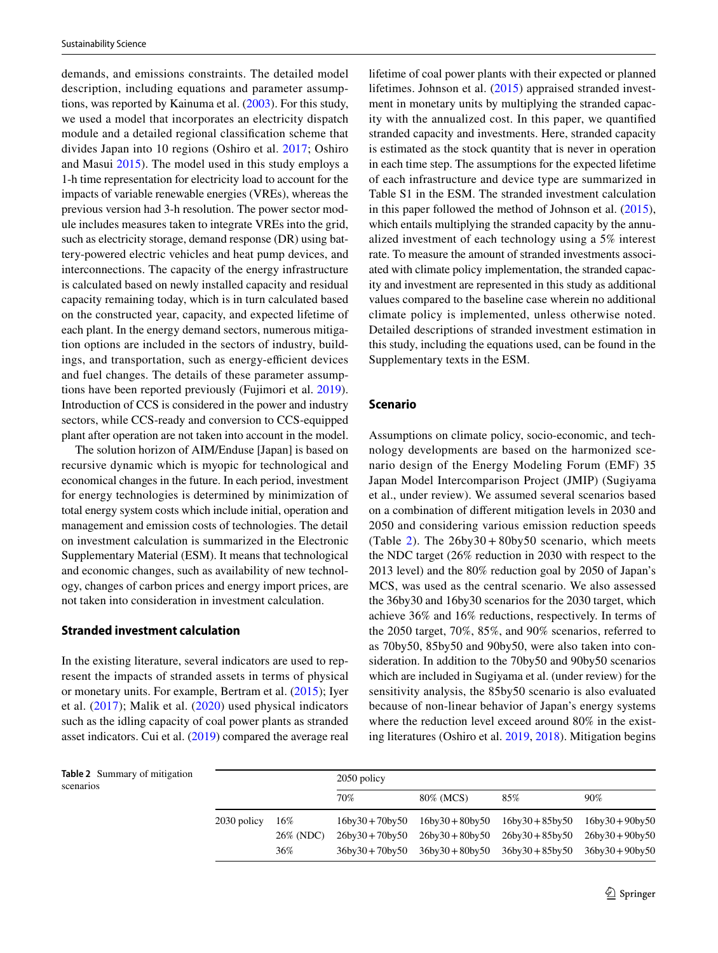demands, and emissions constraints. The detailed model description, including equations and parameter assumptions, was reported by Kainuma et al. [\(2003](#page-9-13)). For this study, we used a model that incorporates an electricity dispatch module and a detailed regional classifcation scheme that divides Japan into 10 regions (Oshiro et al. [2017](#page-9-3); Oshiro and Masui [2015](#page-9-14)). The model used in this study employs a 1-h time representation for electricity load to account for the impacts of variable renewable energies (VREs), whereas the previous version had 3-h resolution. The power sector module includes measures taken to integrate VREs into the grid, such as electricity storage, demand response (DR) using battery-powered electric vehicles and heat pump devices, and interconnections. The capacity of the energy infrastructure is calculated based on newly installed capacity and residual capacity remaining today, which is in turn calculated based on the constructed year, capacity, and expected lifetime of each plant. In the energy demand sectors, numerous mitigation options are included in the sectors of industry, buildings, and transportation, such as energy-efficient devices and fuel changes. The details of these parameter assumptions have been reported previously (Fujimori et al. [2019](#page-9-1)). Introduction of CCS is considered in the power and industry sectors, while CCS-ready and conversion to CCS-equipped plant after operation are not taken into account in the model.

The solution horizon of AIM/Enduse [Japan] is based on recursive dynamic which is myopic for technological and economical changes in the future. In each period, investment for energy technologies is determined by minimization of total energy system costs which include initial, operation and management and emission costs of technologies. The detail on investment calculation is summarized in the Electronic Supplementary Material (ESM). It means that technological and economic changes, such as availability of new technology, changes of carbon prices and energy import prices, are not taken into consideration in investment calculation.

#### **Stranded investment calculation**

In the existing literature, several indicators are used to represent the impacts of stranded assets in terms of physical or monetary units. For example, Bertram et al. [\(2015](#page-9-6)); Iyer et al. ([2017\)](#page-9-9); Malik et al. [\(2020\)](#page-9-10) used physical indicators such as the idling capacity of coal power plants as stranded asset indicators. Cui et al. [\(2019](#page-9-7)) compared the average real lifetime of coal power plants with their expected or planned lifetimes. Johnson et al. [\(2015\)](#page-9-8) appraised stranded investment in monetary units by multiplying the stranded capacity with the annualized cost. In this paper, we quantifed stranded capacity and investments. Here, stranded capacity is estimated as the stock quantity that is never in operation in each time step. The assumptions for the expected lifetime of each infrastructure and device type are summarized in Table S1 in the ESM. The stranded investment calculation in this paper followed the method of Johnson et al. [\(2015](#page-9-8)), which entails multiplying the stranded capacity by the annualized investment of each technology using a 5% interest rate. To measure the amount of stranded investments associated with climate policy implementation, the stranded capacity and investment are represented in this study as additional values compared to the baseline case wherein no additional climate policy is implemented, unless otherwise noted. Detailed descriptions of stranded investment estimation in this study, including the equations used, can be found in the Supplementary texts in the ESM.

#### **Scenario**

Assumptions on climate policy, socio-economic, and technology developments are based on the harmonized scenario design of the Energy Modeling Forum (EMF) 35 Japan Model Intercomparison Project (JMIP) (Sugiyama et al., under review). We assumed several scenarios based on a combination of diferent mitigation levels in 2030 and 2050 and considering various emission reduction speeds (Table [2](#page-2-0)). The  $26$ by $30 + 80$ by $50$  scenario, which meets the NDC target (26% reduction in 2030 with respect to the 2013 level) and the 80% reduction goal by 2050 of Japan's MCS, was used as the central scenario. We also assessed the 36by30 and 16by30 scenarios for the 2030 target, which achieve 36% and 16% reductions, respectively. In terms of the 2050 target, 70%, 85%, and 90% scenarios, referred to as 70by50, 85by50 and 90by50, were also taken into consideration. In addition to the 70by50 and 90by50 scenarios which are included in Sugiyama et al. (under review) for the sensitivity analysis, the 85by50 scenario is also evaluated because of non-linear behavior of Japan's energy systems where the reduction level exceed around 80% in the existing literatures (Oshiro et al. [2019,](#page-10-0) [2018\)](#page-9-15). Mitigation begins

| <b>Table 2</b> Summary of mitigation<br>scenarios |             |           | 2050 policy               |                                                       |                                     |                           |
|---------------------------------------------------|-------------|-----------|---------------------------|-------------------------------------------------------|-------------------------------------|---------------------------|
|                                                   |             |           | 70%                       | 80% (MCS)                                             | 85%                                 | 90%                       |
|                                                   | 2030 policy | 16%       | $16$ by $30 + 70$ by $50$ |                                                       | $16by30 + 80by50$ $16by30 + 85by50$ | $16$ by $30+90$ by $50$   |
|                                                   |             | 26% (NDC) |                           | $26by30 + 70by50$ $26by30 + 80by50$ $26by30 + 85by50$ |                                     | $26$ by $30 + 90$ by $50$ |
|                                                   |             | 36%       |                           | $36by30 + 70by50$ $36by30 + 80by50$                   | $36$ by $30 + 85$ by $50$           | $36by30 + 90by50$         |

<span id="page-2-0"></span>**Table 2** Summary of mitigatic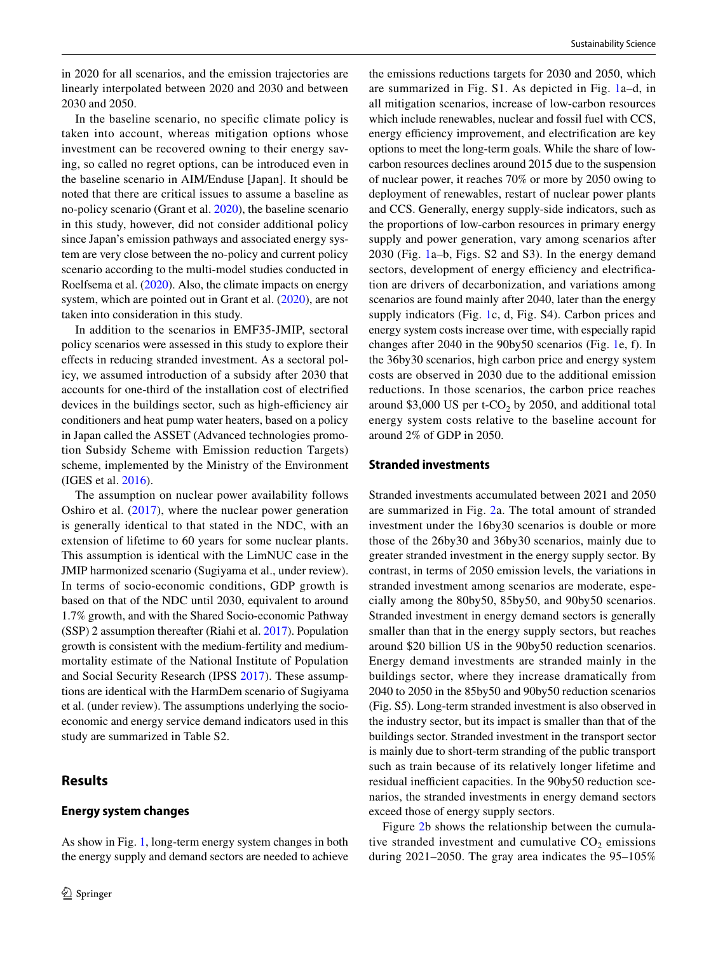in 2020 for all scenarios, and the emission trajectories are linearly interpolated between 2020 and 2030 and between 2030 and 2050.

In the baseline scenario, no specifc climate policy is taken into account, whereas mitigation options whose investment can be recovered owning to their energy saving, so called no regret options, can be introduced even in the baseline scenario in AIM/Enduse [Japan]. It should be noted that there are critical issues to assume a baseline as no-policy scenario (Grant et al. [2020\)](#page-9-16), the baseline scenario in this study, however, did not consider additional policy since Japan's emission pathways and associated energy system are very close between the no-policy and current policy scenario according to the multi-model studies conducted in Roelfsema et al. ([2020\)](#page-10-6). Also, the climate impacts on energy system, which are pointed out in Grant et al. [\(2020\)](#page-9-16), are not taken into consideration in this study.

In addition to the scenarios in EMF35-JMIP, sectoral policy scenarios were assessed in this study to explore their efects in reducing stranded investment. As a sectoral policy, we assumed introduction of a subsidy after 2030 that accounts for one-third of the installation cost of electrifed devices in the buildings sector, such as high-efficiency air conditioners and heat pump water heaters, based on a policy in Japan called the ASSET (Advanced technologies promotion Subsidy Scheme with Emission reduction Targets) scheme, implemented by the Ministry of the Environment (IGES et al. [2016](#page-9-17)).

The assumption on nuclear power availability follows Oshiro et al. ([2017](#page-9-3)), where the nuclear power generation is generally identical to that stated in the NDC, with an extension of lifetime to 60 years for some nuclear plants. This assumption is identical with the LimNUC case in the JMIP harmonized scenario (Sugiyama et al., under review). In terms of socio-economic conditions, GDP growth is based on that of the NDC until 2030, equivalent to around 1.7% growth, and with the Shared Socio-economic Pathway (SSP) 2 assumption thereafter (Riahi et al. [2017](#page-10-7)). Population growth is consistent with the medium-fertility and mediummortality estimate of the National Institute of Population and Social Security Research (IPSS [2017\)](#page-9-18). These assumptions are identical with the HarmDem scenario of Sugiyama et al. (under review). The assumptions underlying the socioeconomic and energy service demand indicators used in this study are summarized in Table S2.

#### **Results**

#### **Energy system changes**

As show in Fig. [1,](#page-4-0) long-term energy system changes in both the energy supply and demand sectors are needed to achieve the emissions reductions targets for 2030 and 2050, which are summarized in Fig. S1. As depicted in Fig. [1](#page-4-0)a–d, in all mitigation scenarios, increase of low-carbon resources which include renewables, nuclear and fossil fuel with CCS, energy efficiency improvement, and electrification are key options to meet the long-term goals. While the share of lowcarbon resources declines around 2015 due to the suspension of nuclear power, it reaches 70% or more by 2050 owing to deployment of renewables, restart of nuclear power plants and CCS. Generally, energy supply-side indicators, such as the proportions of low-carbon resources in primary energy supply and power generation, vary among scenarios after 2030 (Fig. [1a](#page-4-0)–b, Figs. S2 and S3). In the energy demand sectors, development of energy efficiency and electrification are drivers of decarbonization, and variations among scenarios are found mainly after 2040, later than the energy supply indicators (Fig. [1](#page-4-0)c, d, Fig. S4). Carbon prices and energy system costs increase over time, with especially rapid changes after 2040 in the 90by50 scenarios (Fig. [1e](#page-4-0), f). In the 36by30 scenarios, high carbon price and energy system costs are observed in 2030 due to the additional emission reductions. In those scenarios, the carbon price reaches around \$3,000 US per t- $CO<sub>2</sub>$  by 2050, and additional total energy system costs relative to the baseline account for around 2% of GDP in 2050.

#### **Stranded investments**

Stranded investments accumulated between 2021 and 2050 are summarized in Fig. [2a](#page-5-0). The total amount of stranded investment under the 16by30 scenarios is double or more those of the 26by30 and 36by30 scenarios, mainly due to greater stranded investment in the energy supply sector. By contrast, in terms of 2050 emission levels, the variations in stranded investment among scenarios are moderate, especially among the 80by50, 85by50, and 90by50 scenarios. Stranded investment in energy demand sectors is generally smaller than that in the energy supply sectors, but reaches around \$20 billion US in the 90by50 reduction scenarios. Energy demand investments are stranded mainly in the buildings sector, where they increase dramatically from 2040 to 2050 in the 85by50 and 90by50 reduction scenarios (Fig. S5). Long-term stranded investment is also observed in the industry sector, but its impact is smaller than that of the buildings sector. Stranded investment in the transport sector is mainly due to short-term stranding of the public transport such as train because of its relatively longer lifetime and residual inefficient capacities. In the 90by50 reduction scenarios, the stranded investments in energy demand sectors exceed those of energy supply sectors.

Figure [2b](#page-5-0) shows the relationship between the cumulative stranded investment and cumulative  $CO<sub>2</sub>$  emissions during 2021–2050. The gray area indicates the 95–105%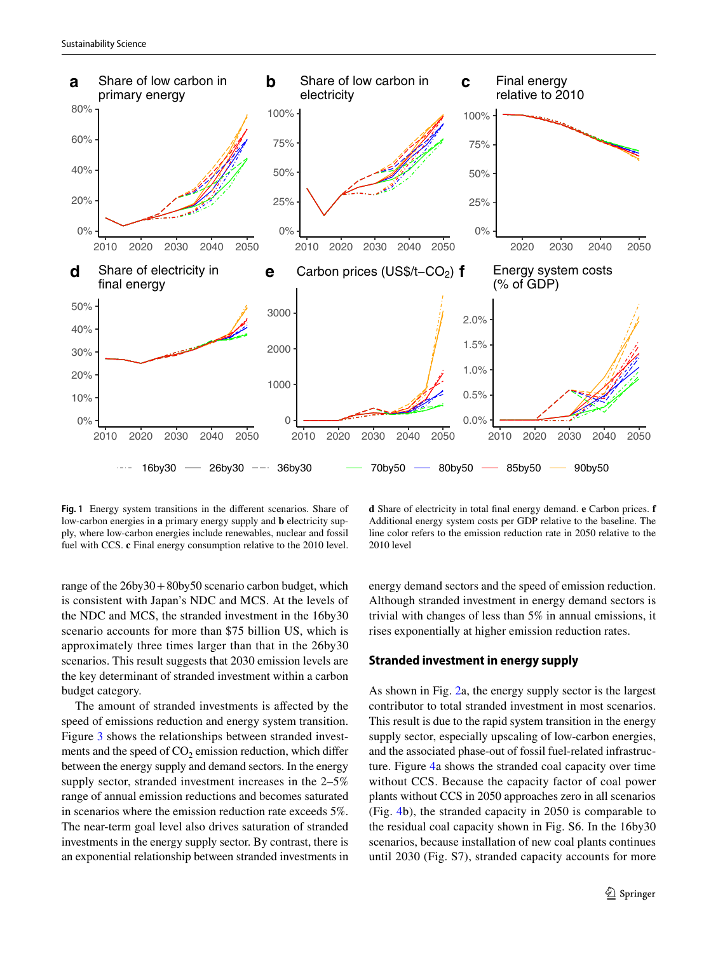

<span id="page-4-0"></span>**Fig. 1** Energy system transitions in the diferent scenarios. Share of low-carbon energies in **a** primary energy supply and **b** electricity supply, where low-carbon energies include renewables, nuclear and fossil fuel with CCS. **c** Final energy consumption relative to the 2010 level.

range of the 26by30+80by50 scenario carbon budget, which is consistent with Japan's NDC and MCS. At the levels of the NDC and MCS, the stranded investment in the 16by30 scenario accounts for more than \$75 billion US, which is approximately three times larger than that in the 26by30 scenarios. This result suggests that 2030 emission levels are the key determinant of stranded investment within a carbon budget category.

The amount of stranded investments is afected by the speed of emissions reduction and energy system transition. Figure [3](#page-6-0) shows the relationships between stranded investments and the speed of  $CO<sub>2</sub>$  emission reduction, which differ between the energy supply and demand sectors. In the energy supply sector, stranded investment increases in the 2–5% range of annual emission reductions and becomes saturated in scenarios where the emission reduction rate exceeds 5%. The near-term goal level also drives saturation of stranded investments in the energy supply sector. By contrast, there is an exponential relationship between stranded investments in

**d** Share of electricity in total fnal energy demand. **e** Carbon prices. **f** Additional energy system costs per GDP relative to the baseline. The line color refers to the emission reduction rate in 2050 relative to the 2010 level

energy demand sectors and the speed of emission reduction. Although stranded investment in energy demand sectors is trivial with changes of less than 5% in annual emissions, it rises exponentially at higher emission reduction rates.

#### **Stranded investment in energy supply**

As shown in Fig. [2a](#page-5-0), the energy supply sector is the largest contributor to total stranded investment in most scenarios. This result is due to the rapid system transition in the energy supply sector, especially upscaling of low-carbon energies, and the associated phase-out of fossil fuel-related infrastructure. Figure [4a](#page-7-0) shows the stranded coal capacity over time without CCS. Because the capacity factor of coal power plants without CCS in 2050 approaches zero in all scenarios (Fig. [4](#page-7-0)b), the stranded capacity in 2050 is comparable to the residual coal capacity shown in Fig. S6. In the 16by30 scenarios, because installation of new coal plants continues until 2030 (Fig. S7), stranded capacity accounts for more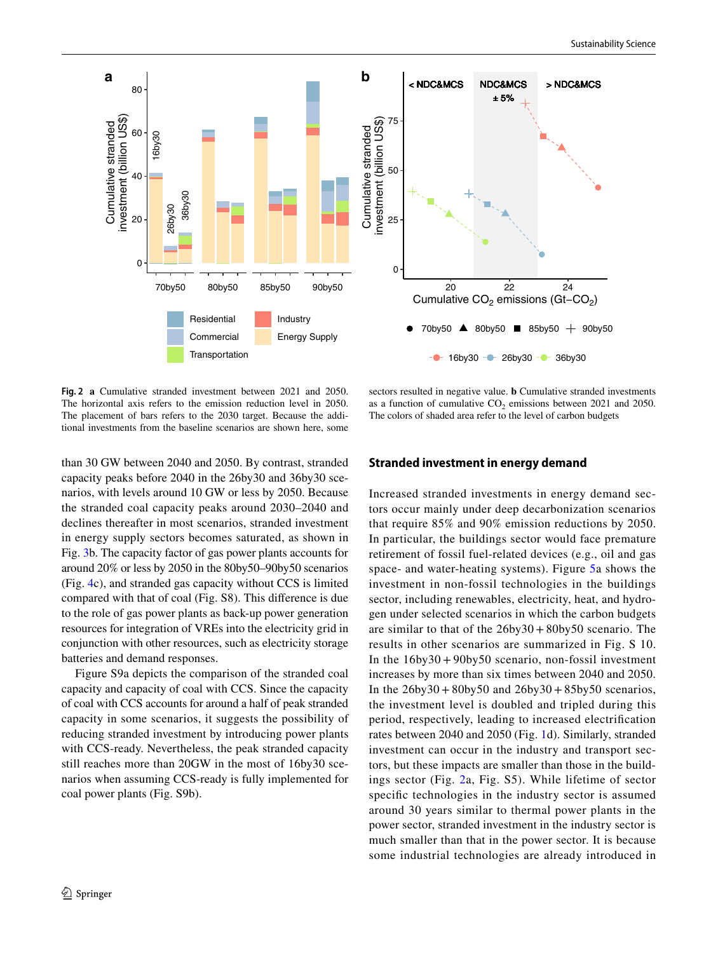

<span id="page-5-0"></span>**Fig. 2 a** Cumulative stranded investment between 2021 and 2050. The horizontal axis refers to the emission reduction level in 2050. The placement of bars refers to the 2030 target. Because the additional investments from the baseline scenarios are shown here, some

than 30 GW between 2040 and 2050. By contrast, stranded capacity peaks before 2040 in the 26by30 and 36by30 scenarios, with levels around 10 GW or less by 2050. Because the stranded coal capacity peaks around 2030–2040 and declines thereafter in most scenarios, stranded investment in energy supply sectors becomes saturated, as shown in Fig. [3b](#page-6-0). The capacity factor of gas power plants accounts for around 20% or less by 2050 in the 80by50–90by50 scenarios (Fig. [4c](#page-7-0)), and stranded gas capacity without CCS is limited compared with that of coal (Fig. S8). This diference is due to the role of gas power plants as back-up power generation resources for integration of VREs into the electricity grid in conjunction with other resources, such as electricity storage batteries and demand responses.

Figure S9a depicts the comparison of the stranded coal capacity and capacity of coal with CCS. Since the capacity of coal with CCS accounts for around a half of peak stranded capacity in some scenarios, it suggests the possibility of reducing stranded investment by introducing power plants with CCS-ready. Nevertheless, the peak stranded capacity still reaches more than 20GW in the most of 16by30 scenarios when assuming CCS-ready is fully implemented for coal power plants (Fig. S9b).

sectors resulted in negative value. **b** Cumulative stranded investments as a function of cumulative  $CO<sub>2</sub>$  emissions between 2021 and 2050. The colors of shaded area refer to the level of carbon budgets

#### **Stranded investment in energy demand**

Increased stranded investments in energy demand sectors occur mainly under deep decarbonization scenarios that require 85% and 90% emission reductions by 2050. In particular, the buildings sector would face premature retirement of fossil fuel-related devices (e.g., oil and gas space- and water-heating systems). Figure [5a](#page-8-0) shows the investment in non-fossil technologies in the buildings sector, including renewables, electricity, heat, and hydrogen under selected scenarios in which the carbon budgets are similar to that of the  $26$ by $30 + 80$ by $50$  scenario. The results in other scenarios are summarized in Fig. S 10. In the  $16\text{by}30 + 90\text{by}50$  scenario, non-fossil investment increases by more than six times between 2040 and 2050. In the  $26$ by $30 + 80$ by $50$  and  $26$ by $30 + 85$ by $50$  scenarios, the investment level is doubled and tripled during this period, respectively, leading to increased electrifcation rates between 2040 and 2050 (Fig. [1d](#page-4-0)). Similarly, stranded investment can occur in the industry and transport sectors, but these impacts are smaller than those in the buildings sector (Fig. [2a](#page-5-0), Fig. S5). While lifetime of sector specifc technologies in the industry sector is assumed around 30 years similar to thermal power plants in the power sector, stranded investment in the industry sector is much smaller than that in the power sector. It is because some industrial technologies are already introduced in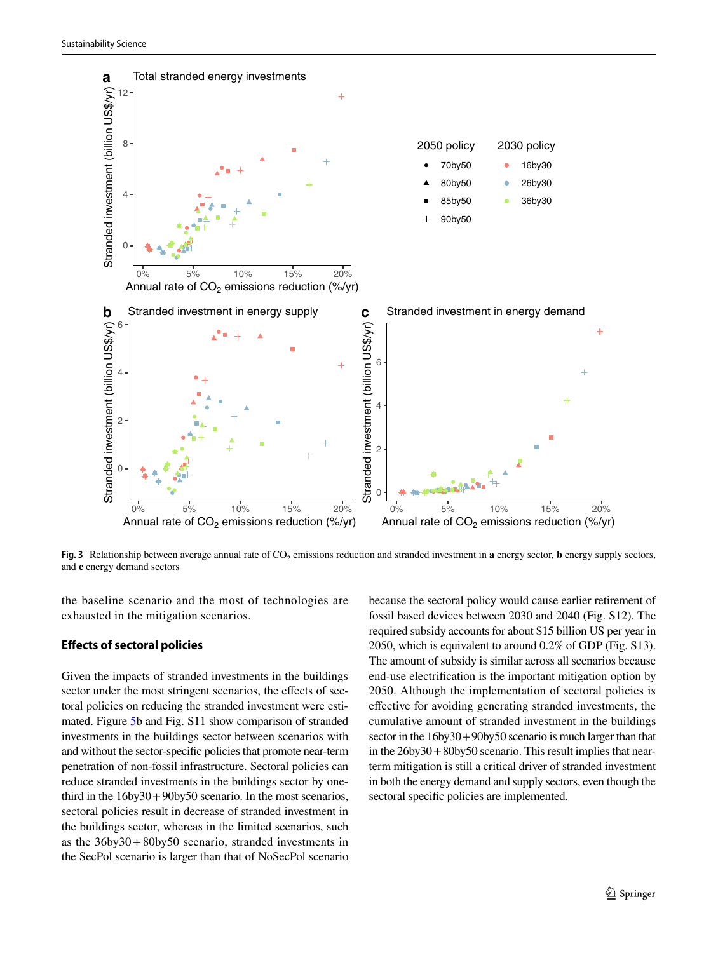

<span id="page-6-0"></span>**Fig. 3** Relationship between average annual rate of  $CO<sub>2</sub>$  emissions reduction and stranded investment in **a** energy sector, **b** energy supply sectors, and **c** energy demand sectors

the baseline scenario and the most of technologies are exhausted in the mitigation scenarios.

## **Efects of sectoral policies**

Given the impacts of stranded investments in the buildings sector under the most stringent scenarios, the effects of sectoral policies on reducing the stranded investment were estimated. Figure [5](#page-8-0)b and Fig. S11 show comparison of stranded investments in the buildings sector between scenarios with and without the sector-specifc policies that promote near-term penetration of non-fossil infrastructure. Sectoral policies can reduce stranded investments in the buildings sector by onethird in the 16by30+90by50 scenario. In the most scenarios, sectoral policies result in decrease of stranded investment in the buildings sector, whereas in the limited scenarios, such as the 36by30+80by50 scenario, stranded investments in the SecPol scenario is larger than that of NoSecPol scenario because the sectoral policy would cause earlier retirement of fossil based devices between 2030 and 2040 (Fig. S12). The required subsidy accounts for about \$15 billion US per year in 2050, which is equivalent to around 0.2% of GDP (Fig. S13). The amount of subsidy is similar across all scenarios because end-use electrifcation is the important mitigation option by 2050. Although the implementation of sectoral policies is efective for avoiding generating stranded investments, the cumulative amount of stranded investment in the buildings sector in the 16by30+90by50 scenario is much larger than that in the 26by30+80by50 scenario. This result implies that nearterm mitigation is still a critical driver of stranded investment in both the energy demand and supply sectors, even though the sectoral specifc policies are implemented.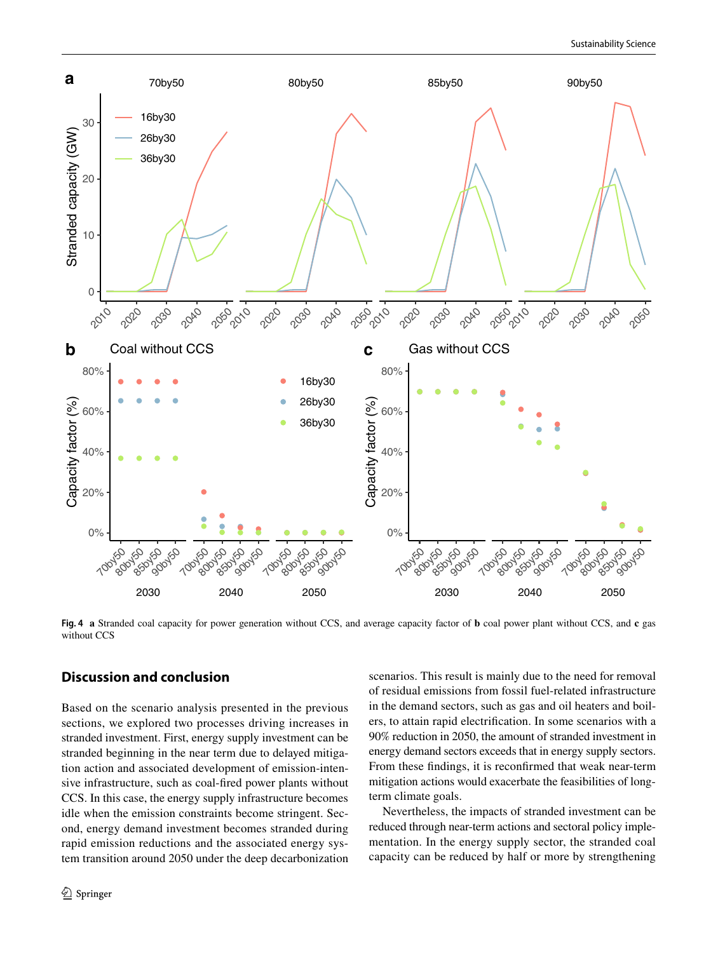

<span id="page-7-0"></span>**Fig. 4 a** Stranded coal capacity for power generation without CCS, and average capacity factor of **b** coal power plant without CCS, and **c** gas without CCS

## **Discussion and conclusion**

Based on the scenario analysis presented in the previous sections, we explored two processes driving increases in stranded investment. First, energy supply investment can be stranded beginning in the near term due to delayed mitigation action and associated development of emission-intensive infrastructure, such as coal-fred power plants without CCS. In this case, the energy supply infrastructure becomes idle when the emission constraints become stringent. Second, energy demand investment becomes stranded during rapid emission reductions and the associated energy system transition around 2050 under the deep decarbonization scenarios. This result is mainly due to the need for removal of residual emissions from fossil fuel-related infrastructure in the demand sectors, such as gas and oil heaters and boilers, to attain rapid electrifcation. In some scenarios with a 90% reduction in 2050, the amount of stranded investment in energy demand sectors exceeds that in energy supply sectors. From these fndings, it is reconfrmed that weak near-term mitigation actions would exacerbate the feasibilities of longterm climate goals.

Nevertheless, the impacts of stranded investment can be reduced through near-term actions and sectoral policy implementation. In the energy supply sector, the stranded coal capacity can be reduced by half or more by strengthening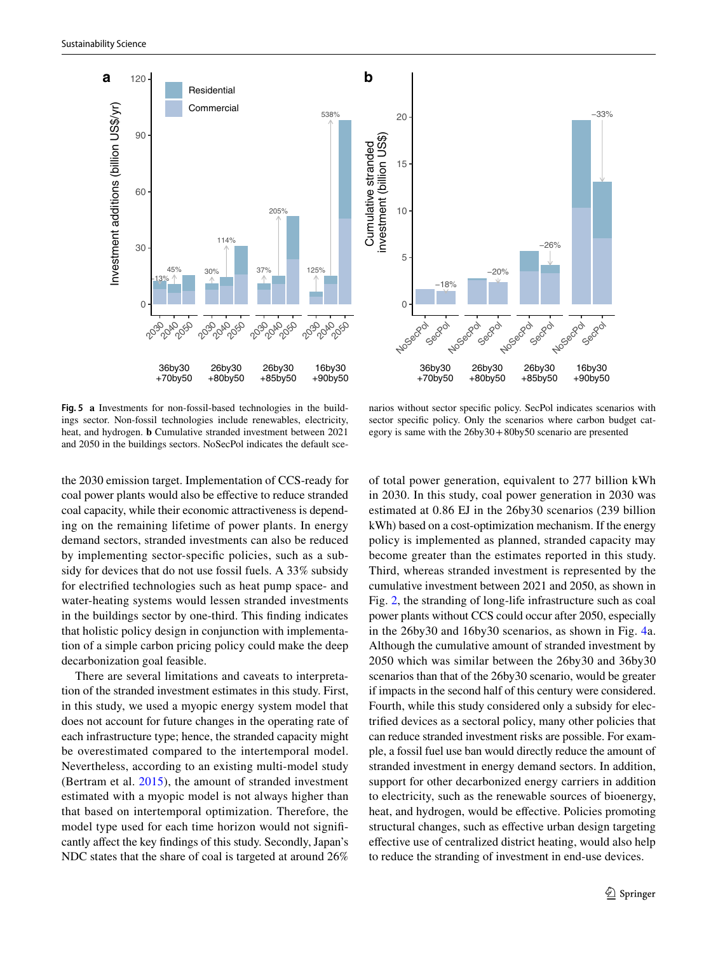



<span id="page-8-0"></span>**Fig. 5 a** Investments for non-fossil-based technologies in the buildings sector. Non-fossil technologies include renewables, electricity, heat, and hydrogen. **b** Cumulative stranded investment between 2021 and 2050 in the buildings sectors. NoSecPol indicates the default sce-

narios without sector specifc policy. SecPol indicates scenarios with sector specifc policy. Only the scenarios where carbon budget category is same with the 26by30+80by50 scenario are presented

the 2030 emission target. Implementation of CCS-ready for coal power plants would also be efective to reduce stranded coal capacity, while their economic attractiveness is depending on the remaining lifetime of power plants. In energy demand sectors, stranded investments can also be reduced by implementing sector-specifc policies, such as a subsidy for devices that do not use fossil fuels. A 33% subsidy for electrifed technologies such as heat pump space- and water-heating systems would lessen stranded investments in the buildings sector by one-third. This fnding indicates that holistic policy design in conjunction with implementation of a simple carbon pricing policy could make the deep decarbonization goal feasible.

There are several limitations and caveats to interpretation of the stranded investment estimates in this study. First, in this study, we used a myopic energy system model that does not account for future changes in the operating rate of each infrastructure type; hence, the stranded capacity might be overestimated compared to the intertemporal model. Nevertheless, according to an existing multi-model study (Bertram et al. [2015\)](#page-9-6), the amount of stranded investment estimated with a myopic model is not always higher than that based on intertemporal optimization. Therefore, the model type used for each time horizon would not signifcantly afect the key fndings of this study. Secondly, Japan's NDC states that the share of coal is targeted at around 26%

of total power generation, equivalent to 277 billion kWh in 2030. In this study, coal power generation in 2030 was estimated at 0.86 EJ in the 26by30 scenarios (239 billion kWh) based on a cost-optimization mechanism. If the energy policy is implemented as planned, stranded capacity may become greater than the estimates reported in this study. Third, whereas stranded investment is represented by the cumulative investment between 2021 and 2050, as shown in Fig. [2,](#page-5-0) the stranding of long-life infrastructure such as coal power plants without CCS could occur after 2050, especially in the 26by30 and 16by30 scenarios, as shown in Fig. [4](#page-7-0)a. Although the cumulative amount of stranded investment by 2050 which was similar between the 26by30 and 36by30 scenarios than that of the 26by30 scenario, would be greater if impacts in the second half of this century were considered. Fourth, while this study considered only a subsidy for electrifed devices as a sectoral policy, many other policies that can reduce stranded investment risks are possible. For example, a fossil fuel use ban would directly reduce the amount of stranded investment in energy demand sectors. In addition, support for other decarbonized energy carriers in addition to electricity, such as the renewable sources of bioenergy, heat, and hydrogen, would be efective. Policies promoting structural changes, such as efective urban design targeting efective use of centralized district heating, would also help to reduce the stranding of investment in end-use devices.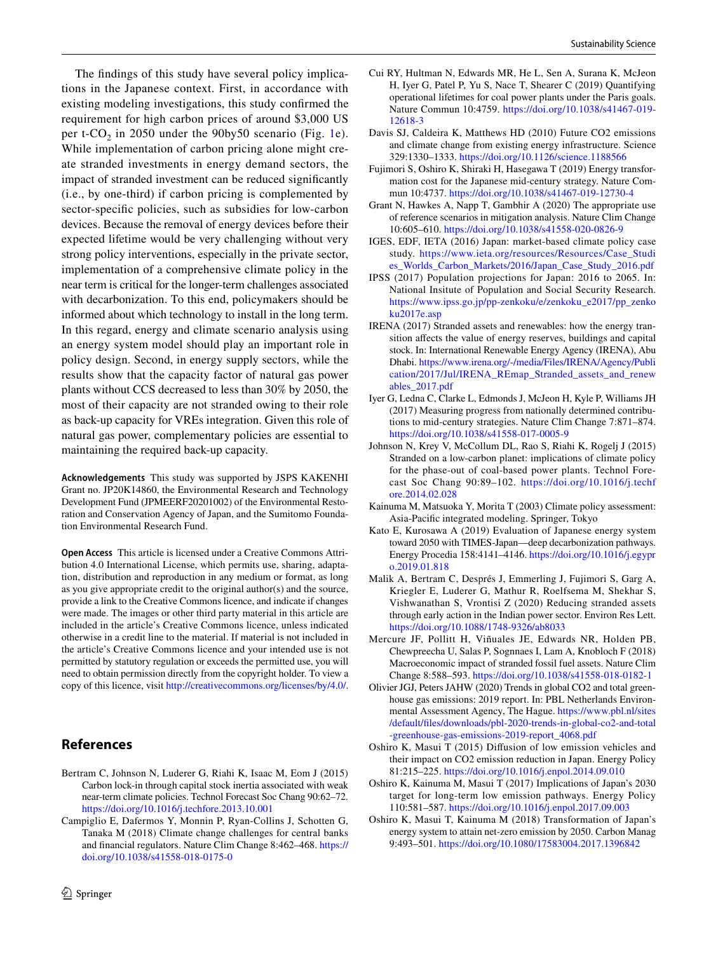The fndings of this study have several policy implications in the Japanese context. First, in accordance with existing modeling investigations, this study confrmed the requirement for high carbon prices of around \$3,000 US per t- $CO<sub>2</sub>$  in 2050 under the 90by50 scenario (Fig. [1](#page-4-0)e). While implementation of carbon pricing alone might create stranded investments in energy demand sectors, the impact of stranded investment can be reduced signifcantly (i.e., by one-third) if carbon pricing is complemented by sector-specifc policies, such as subsidies for low-carbon devices. Because the removal of energy devices before their expected lifetime would be very challenging without very strong policy interventions, especially in the private sector, implementation of a comprehensive climate policy in the near term is critical for the longer-term challenges associated with decarbonization. To this end, policymakers should be informed about which technology to install in the long term. In this regard, energy and climate scenario analysis using an energy system model should play an important role in policy design. Second, in energy supply sectors, while the results show that the capacity factor of natural gas power plants without CCS decreased to less than 30% by 2050, the most of their capacity are not stranded owing to their role as back-up capacity for VREs integration. Given this role of natural gas power, complementary policies are essential to maintaining the required back-up capacity.

**Acknowledgements** This study was supported by JSPS KAKENHI Grant no. JP20K14860, the Environmental Research and Technology Development Fund (JPMEERF20201002) of the Environmental Restoration and Conservation Agency of Japan, and the Sumitomo Foundation Environmental Research Fund.

**Open Access** This article is licensed under a Creative Commons Attribution 4.0 International License, which permits use, sharing, adaptation, distribution and reproduction in any medium or format, as long as you give appropriate credit to the original author(s) and the source, provide a link to the Creative Commons licence, and indicate if changes were made. The images or other third party material in this article are included in the article's Creative Commons licence, unless indicated otherwise in a credit line to the material. If material is not included in the article's Creative Commons licence and your intended use is not permitted by statutory regulation or exceeds the permitted use, you will need to obtain permission directly from the copyright holder. To view a copy of this licence, visit <http://creativecommons.org/licenses/by/4.0/>.

## **References**

- <span id="page-9-6"></span>Bertram C, Johnson N, Luderer G, Riahi K, Isaac M, Eom J (2015) Carbon lock-in through capital stock inertia associated with weak near-term climate policies. Technol Forecast Soc Chang 90:62–72. <https://doi.org/10.1016/j.techfore.2013.10.001>
- <span id="page-9-4"></span>Campiglio E, Dafermos Y, Monnin P, Ryan-Collins J, Schotten G, Tanaka M (2018) Climate change challenges for central banks and fnancial regulators. Nature Clim Change 8:462–468. [https://](https://doi.org/10.1038/s41558-018-0175-0) [doi.org/10.1038/s41558-018-0175-0](https://doi.org/10.1038/s41558-018-0175-0)
- <span id="page-9-7"></span>Cui RY, Hultman N, Edwards MR, He L, Sen A, Surana K, McJeon H, Iyer G, Patel P, Yu S, Nace T, Shearer C (2019) Quantifying operational lifetimes for coal power plants under the Paris goals. Nature Commun 10:4759. [https://doi.org/10.1038/s41467-019-](https://doi.org/10.1038/s41467-019-12618-3) [12618-3](https://doi.org/10.1038/s41467-019-12618-3)
- <span id="page-9-11"></span>Davis SJ, Caldeira K, Matthews HD (2010) Future CO2 emissions and climate change from existing energy infrastructure. Science 329:1330–1333.<https://doi.org/10.1126/science.1188566>
- <span id="page-9-1"></span>Fujimori S, Oshiro K, Shiraki H, Hasegawa T (2019) Energy transformation cost for the Japanese mid-century strategy. Nature Commun 10:4737. <https://doi.org/10.1038/s41467-019-12730-4>
- <span id="page-9-16"></span>Grant N, Hawkes A, Napp T, Gambhir A (2020) The appropriate use of reference scenarios in mitigation analysis. Nature Clim Change 10:605–610.<https://doi.org/10.1038/s41558-020-0826-9>
- <span id="page-9-17"></span>IGES, EDF, IETA (2016) Japan: market-based climate policy case study. [https://www.ieta.org/resources/Resources/Case\\_Studi](https://www.ieta.org/resources/Resources/Case_Studies_Worlds_Carbon_Markets/2016/Japan_Case_Study_2016.pdf) [es\\_Worlds\\_Carbon\\_Markets/2016/Japan\\_Case\\_Study\\_2016.pdf](https://www.ieta.org/resources/Resources/Case_Studies_Worlds_Carbon_Markets/2016/Japan_Case_Study_2016.pdf)
- <span id="page-9-18"></span>IPSS (2017) Population projections for Japan: 2016 to 2065. In: National Insitute of Population and Social Security Research. [https://www.ipss.go.jp/pp-zenkoku/e/zenkoku\\_e2017/pp\\_zenko](http://www.ipss.go.jp/pp-zenkoku/e/zenkoku_e2017/pp_zenkoku2017e.asp) [ku2017e.asp](http://www.ipss.go.jp/pp-zenkoku/e/zenkoku_e2017/pp_zenkoku2017e.asp)
- <span id="page-9-12"></span>IRENA (2017) Stranded assets and renewables: how the energy transition afects the value of energy reserves, buildings and capital stock. In: International Renewable Energy Agency (IRENA), Abu Dhabi. [https://www.irena.org/-/media/Files/IRENA/Agency/Publi](https://www.irena.org/-/media/Files/IRENA/Agency/Publication/2017/Jul/IRENA_REmap_Stranded_assets_and_renewables_2017.pdf) [cation/2017/Jul/IRENA\\_REmap\\_Stranded\\_assets\\_and\\_renew](https://www.irena.org/-/media/Files/IRENA/Agency/Publication/2017/Jul/IRENA_REmap_Stranded_assets_and_renewables_2017.pdf) [ables\\_2017.pdf](https://www.irena.org/-/media/Files/IRENA/Agency/Publication/2017/Jul/IRENA_REmap_Stranded_assets_and_renewables_2017.pdf)
- <span id="page-9-9"></span>Iyer G, Ledna C, Clarke L, Edmonds J, McJeon H, Kyle P, Williams JH (2017) Measuring progress from nationally determined contributions to mid-century strategies. Nature Clim Change 7:871–874. <https://doi.org/10.1038/s41558-017-0005-9>
- <span id="page-9-8"></span>Johnson N, Krey V, McCollum DL, Rao S, Riahi K, Rogelj J (2015) Stranded on a low-carbon planet: implications of climate policy for the phase-out of coal-based power plants. Technol Forecast Soc Chang 90:89–102. [https://doi.org/10.1016/j.techf](https://doi.org/10.1016/j.techfore.2014.02.028) [ore.2014.02.028](https://doi.org/10.1016/j.techfore.2014.02.028)
- <span id="page-9-13"></span>Kainuma M, Matsuoka Y, Morita T (2003) Climate policy assessment: Asia-Pacifc integrated modeling. Springer, Tokyo
- <span id="page-9-2"></span>Kato E, Kurosawa A (2019) Evaluation of Japanese energy system toward 2050 with TIMES-Japan—deep decarbonization pathways. Energy Procedia 158:4141–4146. [https://doi.org/10.1016/j.egypr](https://doi.org/10.1016/j.egypro.2019.01.818) [o.2019.01.818](https://doi.org/10.1016/j.egypro.2019.01.818)
- <span id="page-9-10"></span>Malik A, Bertram C, Després J, Emmerling J, Fujimori S, Garg A, Kriegler E, Luderer G, Mathur R, Roelfsema M, Shekhar S, Vishwanathan S, Vrontisi Z (2020) Reducing stranded assets through early action in the Indian power sector. Environ Res Lett. <https://doi.org/10.1088/1748-9326/ab8033>
- <span id="page-9-5"></span>Mercure JF, Pollitt H, Viñuales JE, Edwards NR, Holden PB, Chewpreecha U, Salas P, Sognnaes I, Lam A, Knobloch F (2018) Macroeconomic impact of stranded fossil fuel assets. Nature Clim Change 8:588–593.<https://doi.org/10.1038/s41558-018-0182-1>
- <span id="page-9-0"></span>Olivier JGJ, Peters JAHW (2020) Trends in global CO2 and total greenhouse gas emissions: 2019 report. In: PBL Netherlands Environmental Assessment Agency, The Hague. [https://www.pbl.nl/sites](https://www.pbl.nl/sites/default/files/downloads/pbl-2020-trends-in-global-co2-and-total-greenhouse-gas-emissions-2019-report_4068.pdf) [/default/fles/downloads/pbl-2020-trends-in-global-co2-and-total](https://www.pbl.nl/sites/default/files/downloads/pbl-2020-trends-in-global-co2-and-total-greenhouse-gas-emissions-2019-report_4068.pdf) [-greenhouse-gas-emissions-2019-report\\_4068.pdf](https://www.pbl.nl/sites/default/files/downloads/pbl-2020-trends-in-global-co2-and-total-greenhouse-gas-emissions-2019-report_4068.pdf)
- <span id="page-9-14"></span>Oshiro K, Masui T (2015) Difusion of low emission vehicles and their impact on CO2 emission reduction in Japan. Energy Policy 81:215–225.<https://doi.org/10.1016/j.enpol.2014.09.010>
- <span id="page-9-3"></span>Oshiro K, Kainuma M, Masui T (2017) Implications of Japan's 2030 target for long-term low emission pathways. Energy Policy 110:581–587. <https://doi.org/10.1016/j.enpol.2017.09.003>
- <span id="page-9-15"></span>Oshiro K, Masui T, Kainuma M (2018) Transformation of Japan's energy system to attain net-zero emission by 2050. Carbon Manag 9:493–501.<https://doi.org/10.1080/17583004.2017.1396842>